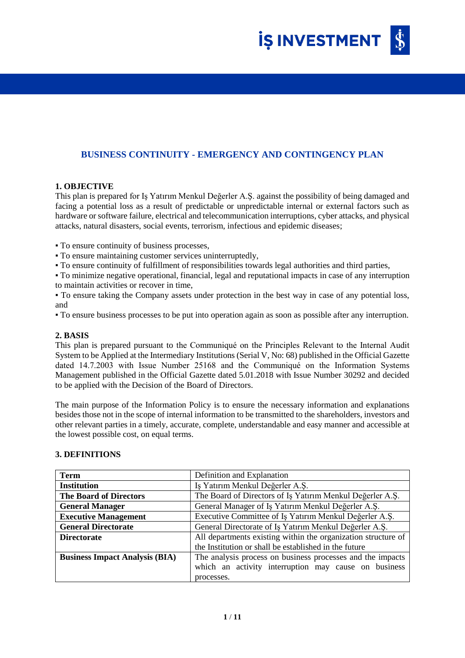

# **BUSINESS CONTINUITY - EMERGENCY AND CONTINGENCY PLAN**

### **1. OBJECTIVE**

This plan is prepared for Iş Yatırım Menkul Değerler A.Ş. against the possibility of being damaged and facing a potential loss as a result of predictable or unpredictable internal or external factors such as hardware or software failure, electrical and telecommunication interruptions, cyber attacks, and physical attacks, natural disasters, social events, terrorism, infectious and epidemic diseases;

▪ To ensure continuity of business processes,

- To ensure maintaining customer services uninterruptedly,
- To ensure continuity of fulfillment of responsibilities towards legal authorities and third parties,

▪ To minimize negative operational, financial, legal and reputational impacts in case of any interruption to maintain activities or recover in time,

▪ To ensure taking the Company assets under protection in the best way in case of any potential loss, and

▪ To ensure business processes to be put into operation again as soon as possible after any interruption.

### **2. BASIS**

This plan is prepared pursuant to the Communiqué on the Principles Relevant to the Internal Audit System to be Applied at the Intermediary Institutions (Serial V, No: 68) published in the Official Gazette dated 14.7.2003 with Issue Number 25168 and the Communiqué on the Information Systems Management published in the Official Gazette dated 5.01.2018 with Issue Number 30292 and decided to be applied with the Decision of the Board of Directors.

The main purpose of the Information Policy is to ensure the necessary information and explanations besides those not in the scope of internal information to be transmitted to the shareholders, investors and other relevant parties in a timely, accurate, complete, understandable and easy manner and accessible at the lowest possible cost, on equal terms.

| <b>Term</b>                           | Definition and Explanation                                    |
|---------------------------------------|---------------------------------------------------------------|
| <b>Institution</b>                    | Iş Yatırım Menkul Değerler A.Ş.                               |
| <b>The Board of Directors</b>         | The Board of Directors of Is Yatırım Menkul Değerler A.Ş.     |
| <b>General Manager</b>                | General Manager of Iş Yatırım Menkul Değerler A.Ş.            |
| <b>Executive Management</b>           | Executive Committee of Is Yatırım Menkul Değerler A.Ş.        |
| <b>General Directorate</b>            | General Directorate of Is Yatırım Menkul Değerler A.Ş.        |
| <b>Directorate</b>                    | All departments existing within the organization structure of |
|                                       | the Institution or shall be established in the future         |
| <b>Business Impact Analysis (BIA)</b> | The analysis process on business processes and the impacts    |
|                                       | which an activity interruption may cause on business          |
|                                       | processes.                                                    |

### **3. DEFINITIONS**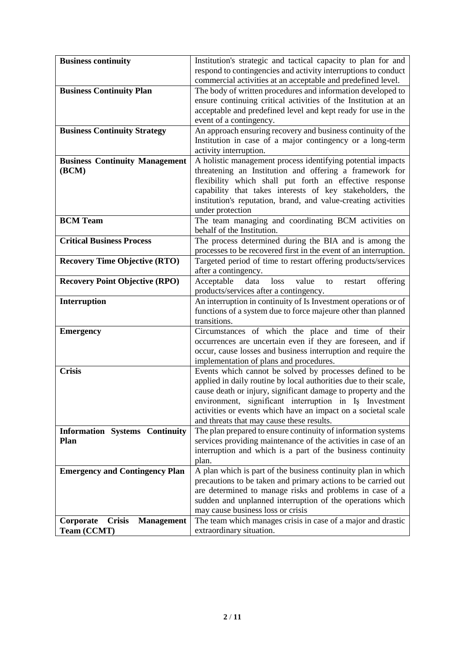| <b>Business continuity</b>                      | Institution's strategic and tactical capacity to plan for and                                                                 |
|-------------------------------------------------|-------------------------------------------------------------------------------------------------------------------------------|
|                                                 | respond to contingencies and activity interruptions to conduct                                                                |
|                                                 | commercial activities at an acceptable and predefined level.                                                                  |
| <b>Business Continuity Plan</b>                 | The body of written procedures and information developed to                                                                   |
|                                                 | ensure continuing critical activities of the Institution at an                                                                |
|                                                 | acceptable and predefined level and kept ready for use in the                                                                 |
|                                                 | event of a contingency.                                                                                                       |
| <b>Business Continuity Strategy</b>             | An approach ensuring recovery and business continuity of the                                                                  |
|                                                 | Institution in case of a major contingency or a long-term                                                                     |
|                                                 | activity interruption.                                                                                                        |
| <b>Business Continuity Management</b>           | A holistic management process identifying potential impacts                                                                   |
| (BCM)                                           | threatening an Institution and offering a framework for                                                                       |
|                                                 | flexibility which shall put forth an effective response                                                                       |
|                                                 | capability that takes interests of key stakeholders, the                                                                      |
|                                                 | institution's reputation, brand, and value-creating activities                                                                |
|                                                 | under protection                                                                                                              |
| <b>BCM</b> Team                                 | The team managing and coordinating BCM activities on                                                                          |
|                                                 | behalf of the Institution.                                                                                                    |
| <b>Critical Business Process</b>                | The process determined during the BIA and is among the                                                                        |
|                                                 | processes to be recovered first in the event of an interruption.                                                              |
| <b>Recovery Time Objective (RTO)</b>            | Targeted period of time to restart offering products/services                                                                 |
|                                                 | after a contingency.                                                                                                          |
| <b>Recovery Point Objective (RPO)</b>           | Acceptable<br>loss<br>value<br>data<br>offering<br>to<br>restart                                                              |
|                                                 | products/services after a contingency.                                                                                        |
| Interruption                                    | An interruption in continuity of Is Investment operations or of                                                               |
|                                                 | functions of a system due to force majeure other than planned                                                                 |
|                                                 | transitions.                                                                                                                  |
| <b>Emergency</b>                                | Circumstances of which the place and time of their                                                                            |
|                                                 | occurrences are uncertain even if they are foreseen, and if                                                                   |
|                                                 | occur, cause losses and business interruption and require the                                                                 |
|                                                 | implementation of plans and procedures.                                                                                       |
| <b>Crisis</b>                                   | Events which cannot be solved by processes defined to be                                                                      |
|                                                 | applied in daily routine by local authorities due to their scale,                                                             |
|                                                 | cause death or injury, significant damage to property and the                                                                 |
|                                                 | environment, significant interruption in Is Investment                                                                        |
|                                                 | activities or events which have an impact on a societal scale                                                                 |
|                                                 | and threats that may cause these results.                                                                                     |
| <b>Information Systems Continuity</b>           | The plan prepared to ensure continuity of information systems                                                                 |
| <b>Plan</b>                                     | services providing maintenance of the activities in case of an<br>interruption and which is a part of the business continuity |
|                                                 |                                                                                                                               |
| <b>Emergency and Contingency Plan</b>           | plan.<br>A plan which is part of the business continuity plan in which                                                        |
|                                                 | precautions to be taken and primary actions to be carried out                                                                 |
|                                                 | are determined to manage risks and problems in case of a                                                                      |
|                                                 | sudden and unplanned interruption of the operations which                                                                     |
|                                                 | may cause business loss or crisis                                                                                             |
| <b>Crisis</b><br>Corporate<br><b>Management</b> | The team which manages crisis in case of a major and drastic                                                                  |
| <b>Team (CCMT)</b>                              | extraordinary situation.                                                                                                      |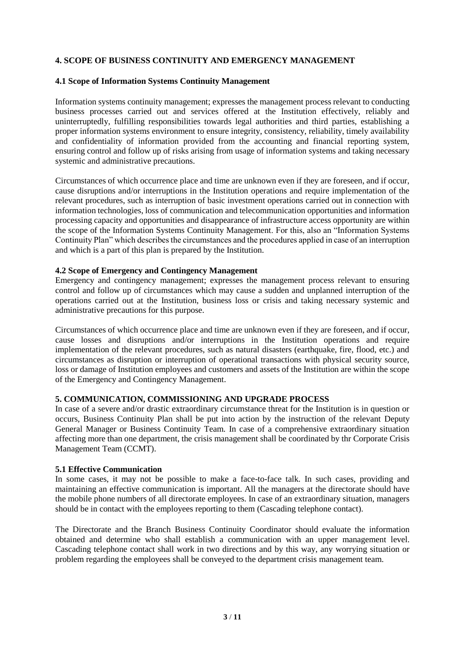### **4. SCOPE OF BUSINESS CONTINUITY AND EMERGENCY MANAGEMENT**

#### **4.1 Scope of Information Systems Continuity Management**

Information systems continuity management; expresses the management process relevant to conducting business processes carried out and services offered at the Institution effectively, reliably and uninterruptedly, fulfilling responsibilities towards legal authorities and third parties, establishing a proper information systems environment to ensure integrity, consistency, reliability, timely availability and confidentiality of information provided from the accounting and financial reporting system, ensuring control and follow up of risks arising from usage of information systems and taking necessary systemic and administrative precautions.

Circumstances of which occurrence place and time are unknown even if they are foreseen, and if occur, cause disruptions and/or interruptions in the Institution operations and require implementation of the relevant procedures, such as interruption of basic investment operations carried out in connection with information technologies, loss of communication and telecommunication opportunities and information processing capacity and opportunities and disappearance of infrastructure access opportunity are within the scope of the Information Systems Continuity Management. For this, also an "Information Systems Continuity Plan" which describes the circumstances and the procedures applied in case of an interruption and which is a part of this plan is prepared by the Institution.

#### **4.2 Scope of Emergency and Contingency Management**

Emergency and contingency management; expresses the management process relevant to ensuring control and follow up of circumstances which may cause a sudden and unplanned interruption of the operations carried out at the Institution, business loss or crisis and taking necessary systemic and administrative precautions for this purpose.

Circumstances of which occurrence place and time are unknown even if they are foreseen, and if occur, cause losses and disruptions and/or interruptions in the Institution operations and require implementation of the relevant procedures, such as natural disasters (earthquake, fire, flood, etc.) and circumstances as disruption or interruption of operational transactions with physical security source, loss or damage of Institution employees and customers and assets of the Institution are within the scope of the Emergency and Contingency Management.

### **5. COMMUNICATION, COMMISSIONING AND UPGRADE PROCESS**

In case of a severe and/or drastic extraordinary circumstance threat for the Institution is in question or occurs, Business Continuity Plan shall be put into action by the instruction of the relevant Deputy General Manager or Business Continuity Team. In case of a comprehensive extraordinary situation affecting more than one department, the crisis management shall be coordinated by thr Corporate Crisis Management Team (CCMT).

#### **5.1 Effective Communication**

In some cases, it may not be possible to make a face-to-face talk. In such cases, providing and maintaining an effective communication is important. All the managers at the directorate should have the mobile phone numbers of all directorate employees. In case of an extraordinary situation, managers should be in contact with the employees reporting to them (Cascading telephone contact).

The Directorate and the Branch Business Continuity Coordinator should evaluate the information obtained and determine who shall establish a communication with an upper management level. Cascading telephone contact shall work in two directions and by this way, any worrying situation or problem regarding the employees shall be conveyed to the department crisis management team.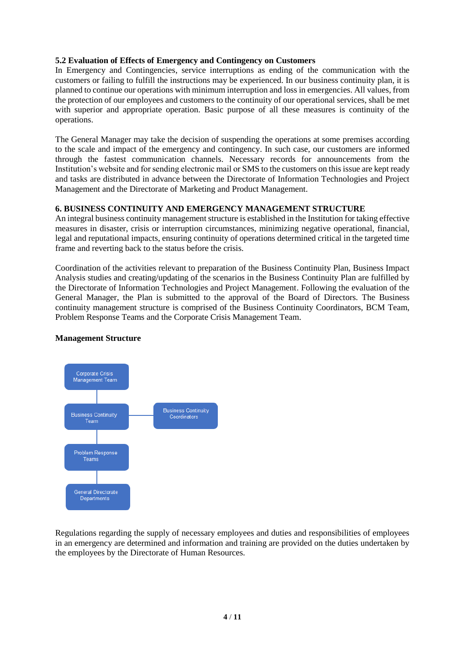### **5.2 Evaluation of Effects of Emergency and Contingency on Customers**

In Emergency and Contingencies, service interruptions as ending of the communication with the customers or failing to fulfill the instructions may be experienced. In our business continuity plan, it is planned to continue our operations with minimum interruption and loss in emergencies. All values, from the protection of our employees and customers to the continuity of our operational services, shall be met with superior and appropriate operation. Basic purpose of all these measures is continuity of the operations.

The General Manager may take the decision of suspending the operations at some premises according to the scale and impact of the emergency and contingency. In such case, our customers are informed through the fastest communication channels. Necessary records for announcements from the Institution's website and for sending electronic mail or SMS to the customers on this issue are kept ready and tasks are distributed in advance between the Directorate of Information Technologies and Project Management and the Directorate of Marketing and Product Management.

### **6. BUSINESS CONTINUITY AND EMERGENCY MANAGEMENT STRUCTURE**

An integral business continuity management structure is established in the Institution for taking effective measures in disaster, crisis or interruption circumstances, minimizing negative operational, financial, legal and reputational impacts, ensuring continuity of operations determined critical in the targeted time frame and reverting back to the status before the crisis.

Coordination of the activities relevant to preparation of the Business Continuity Plan, Business Impact Analysis studies and creating/updating of the scenarios in the Business Continuity Plan are fulfilled by the Directorate of Information Technologies and Project Management. Following the evaluation of the General Manager, the Plan is submitted to the approval of the Board of Directors. The Business continuity management structure is comprised of the Business Continuity Coordinators, BCM Team, Problem Response Teams and the Corporate Crisis Management Team.



# **Management Structure**

Regulations regarding the supply of necessary employees and duties and responsibilities of employees in an emergency are determined and information and training are provided on the duties undertaken by the employees by the Directorate of Human Resources.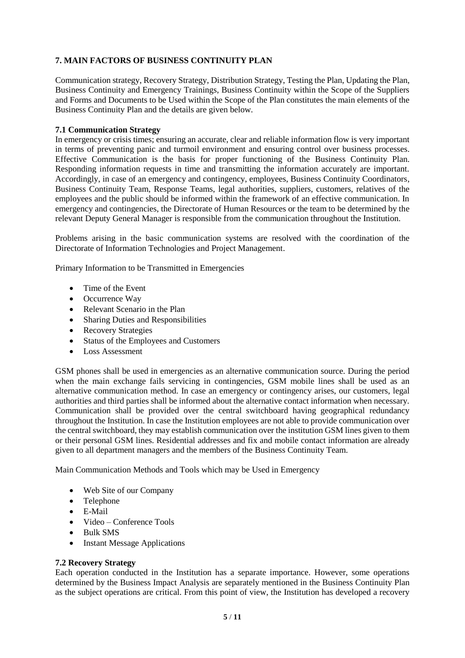# **7. MAIN FACTORS OF BUSINESS CONTINUITY PLAN**

Communication strategy, Recovery Strategy, Distribution Strategy, Testing the Plan, Updating the Plan, Business Continuity and Emergency Trainings, Business Continuity within the Scope of the Suppliers and Forms and Documents to be Used within the Scope of the Plan constitutes the main elements of the Business Continuity Plan and the details are given below.

### **7.1 Communication Strategy**

In emergency or crisis times; ensuring an accurate, clear and reliable information flow is very important in terms of preventing panic and turmoil environment and ensuring control over business processes. Effective Communication is the basis for proper functioning of the Business Continuity Plan. Responding information requests in time and transmitting the information accurately are important. Accordingly, in case of an emergency and contingency, employees, Business Continuity Coordinators, Business Continuity Team, Response Teams, legal authorities, suppliers, customers, relatives of the employees and the public should be informed within the framework of an effective communication. In emergency and contingencies, the Directorate of Human Resources or the team to be determined by the relevant Deputy General Manager is responsible from the communication throughout the Institution.

Problems arising in the basic communication systems are resolved with the coordination of the Directorate of Information Technologies and Project Management.

Primary Information to be Transmitted in Emergencies

- Time of the Event
- Occurrence Way
- Relevant Scenario in the Plan
- Sharing Duties and Responsibilities
- Recovery Strategies
- Status of the Employees and Customers
- Loss Assessment

GSM phones shall be used in emergencies as an alternative communication source. During the period when the main exchange fails servicing in contingencies, GSM mobile lines shall be used as an alternative communication method. In case an emergency or contingency arises, our customers, legal authorities and third parties shall be informed about the alternative contact information when necessary. Communication shall be provided over the central switchboard having geographical redundancy throughout the Institution. In case the Institution employees are not able to provide communication over the central switchboard, they may establish communication over the institution GSM lines given to them or their personal GSM lines. Residential addresses and fix and mobile contact information are already given to all department managers and the members of the Business Continuity Team.

Main Communication Methods and Tools which may be Used in Emergency

- Web Site of our Company
- Telephone
- E-Mail
- Video Conference Tools
- Bulk SMS
- Instant Message Applications

### **7.2 Recovery Strategy**

Each operation conducted in the Institution has a separate importance. However, some operations determined by the Business Impact Analysis are separately mentioned in the Business Continuity Plan as the subject operations are critical. From this point of view, the Institution has developed a recovery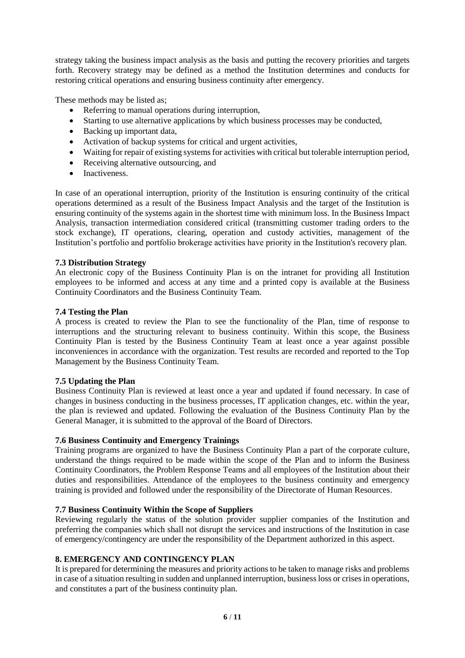strategy taking the business impact analysis as the basis and putting the recovery priorities and targets forth. Recovery strategy may be defined as a method the Institution determines and conducts for restoring critical operations and ensuring business continuity after emergency.

These methods may be listed as;

- Referring to manual operations during interruption,
- Starting to use alternative applications by which business processes may be conducted,
- Backing up important data,
- Activation of backup systems for critical and urgent activities,
- Waiting for repair of existing systems for activities with critical but tolerable interruption period,
- Receiving alternative outsourcing, and
- Inactiveness.

In case of an operational interruption, priority of the Institution is ensuring continuity of the critical operations determined as a result of the Business Impact Analysis and the target of the Institution is ensuring continuity of the systems again in the shortest time with minimum loss. In the Business Impact Analysis, transaction intermediation considered critical (transmitting customer trading orders to the stock exchange), IT operations, clearing, operation and custody activities, management of the Institution's portfolio and portfolio brokerage activities have priority in the Institution's recovery plan.

### **7.3 Distribution Strategy**

An electronic copy of the Business Continuity Plan is on the intranet for providing all Institution employees to be informed and access at any time and a printed copy is available at the Business Continuity Coordinators and the Business Continuity Team.

### **7.4 Testing the Plan**

A process is created to review the Plan to see the functionality of the Plan, time of response to interruptions and the structuring relevant to business continuity. Within this scope, the Business Continuity Plan is tested by the Business Continuity Team at least once a year against possible inconveniences in accordance with the organization. Test results are recorded and reported to the Top Management by the Business Continuity Team.

### **7.5 Updating the Plan**

Business Continuity Plan is reviewed at least once a year and updated if found necessary. In case of changes in business conducting in the business processes, IT application changes, etc. within the year, the plan is reviewed and updated. Following the evaluation of the Business Continuity Plan by the General Manager, it is submitted to the approval of the Board of Directors.

### **7.6 Business Continuity and Emergency Trainings**

Training programs are organized to have the Business Continuity Plan a part of the corporate culture, understand the things required to be made within the scope of the Plan and to inform the Business Continuity Coordinators, the Problem Response Teams and all employees of the Institution about their duties and responsibilities. Attendance of the employees to the business continuity and emergency training is provided and followed under the responsibility of the Directorate of Human Resources.

### **7.7 Business Continuity Within the Scope of Suppliers**

Reviewing regularly the status of the solution provider supplier companies of the Institution and preferring the companies which shall not disrupt the services and instructions of the Institution in case of emergency/contingency are under the responsibility of the Department authorized in this aspect.

# **8. EMERGENCY AND CONTINGENCY PLAN**

It is prepared for determining the measures and priority actions to be taken to manage risks and problems in case of a situation resulting in sudden and unplanned interruption, business loss or crises in operations, and constitutes a part of the business continuity plan.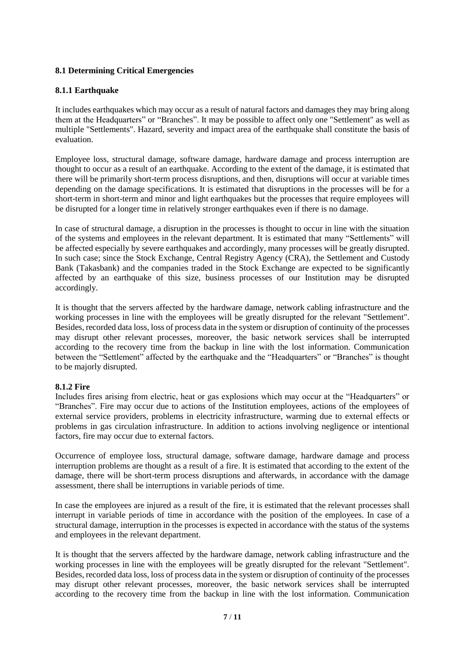# **8.1 Determining Critical Emergencies**

### **8.1.1 Earthquake**

It includes earthquakes which may occur as a result of natural factors and damages they may bring along them at the Headquarters" or "Branches". It may be possible to affect only one "Settlement" as well as multiple "Settlements". Hazard, severity and impact area of the earthquake shall constitute the basis of evaluation.

Employee loss, structural damage, software damage, hardware damage and process interruption are thought to occur as a result of an earthquake. According to the extent of the damage, it is estimated that there will be primarily short-term process disruptions, and then, disruptions will occur at variable times depending on the damage specifications. It is estimated that disruptions in the processes will be for a short-term in short-term and minor and light earthquakes but the processes that require employees will be disrupted for a longer time in relatively stronger earthquakes even if there is no damage.

In case of structural damage, a disruption in the processes is thought to occur in line with the situation of the systems and employees in the relevant department. It is estimated that many "Settlements" will be affected especially by severe earthquakes and accordingly, many processes will be greatly disrupted. In such case; since the Stock Exchange, Central Registry Agency (CRA), the Settlement and Custody Bank (Takasbank) and the companies traded in the Stock Exchange are expected to be significantly affected by an earthquake of this size, business processes of our Institution may be disrupted accordingly.

It is thought that the servers affected by the hardware damage, network cabling infrastructure and the working processes in line with the employees will be greatly disrupted for the relevant "Settlement". Besides, recorded data loss, loss of process data in the system or disruption of continuity of the processes may disrupt other relevant processes, moreover, the basic network services shall be interrupted according to the recovery time from the backup in line with the lost information. Communication between the "Settlement" affected by the earthquake and the "Headquarters" or "Branches" is thought to be majorly disrupted.

### **8.1.2 Fire**

Includes fires arising from electric, heat or gas explosions which may occur at the "Headquarters" or "Branches". Fire may occur due to actions of the Institution employees, actions of the employees of external service providers, problems in electricity infrastructure, warming due to external effects or problems in gas circulation infrastructure. In addition to actions involving negligence or intentional factors, fire may occur due to external factors.

Occurrence of employee loss, structural damage, software damage, hardware damage and process interruption problems are thought as a result of a fire. It is estimated that according to the extent of the damage, there will be short-term process disruptions and afterwards, in accordance with the damage assessment, there shall be interruptions in variable periods of time.

In case the employees are injured as a result of the fire, it is estimated that the relevant processes shall interrupt in variable periods of time in accordance with the position of the employees. In case of a structural damage, interruption in the processes is expected in accordance with the status of the systems and employees in the relevant department.

It is thought that the servers affected by the hardware damage, network cabling infrastructure and the working processes in line with the employees will be greatly disrupted for the relevant "Settlement". Besides, recorded data loss, loss of process data in the system or disruption of continuity of the processes may disrupt other relevant processes, moreover, the basic network services shall be interrupted according to the recovery time from the backup in line with the lost information. Communication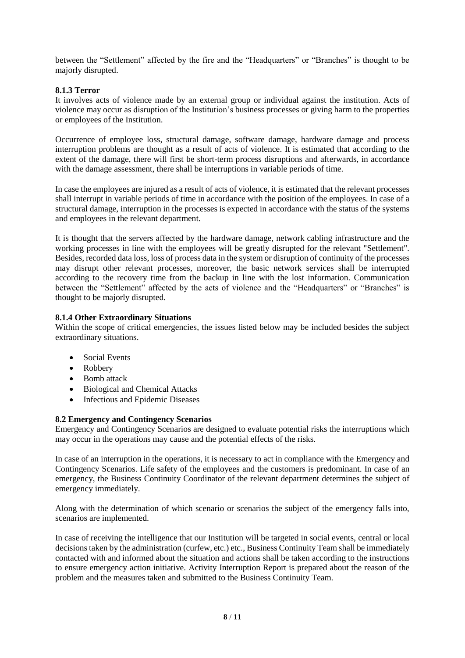between the "Settlement" affected by the fire and the "Headquarters" or "Branches" is thought to be majorly disrupted.

### **8.1.3 Terror**

It involves acts of violence made by an external group or individual against the institution. Acts of violence may occur as disruption of the Institution's business processes or giving harm to the properties or employees of the Institution.

Occurrence of employee loss, structural damage, software damage, hardware damage and process interruption problems are thought as a result of acts of violence. It is estimated that according to the extent of the damage, there will first be short-term process disruptions and afterwards, in accordance with the damage assessment, there shall be interruptions in variable periods of time.

In case the employees are injured as a result of acts of violence, it is estimated that the relevant processes shall interrupt in variable periods of time in accordance with the position of the employees. In case of a structural damage, interruption in the processes is expected in accordance with the status of the systems and employees in the relevant department.

It is thought that the servers affected by the hardware damage, network cabling infrastructure and the working processes in line with the employees will be greatly disrupted for the relevant "Settlement". Besides, recorded data loss, loss of process data in the system or disruption of continuity of the processes may disrupt other relevant processes, moreover, the basic network services shall be interrupted according to the recovery time from the backup in line with the lost information. Communication between the "Settlement" affected by the acts of violence and the "Headquarters" or "Branches" is thought to be majorly disrupted.

### **8.1.4 Other Extraordinary Situations**

Within the scope of critical emergencies, the issues listed below may be included besides the subject extraordinary situations.

- Social Events
- Robbery
- Bomb attack
- Biological and Chemical Attacks
- Infectious and Epidemic Diseases

### **8.2 Emergency and Contingency Scenarios**

Emergency and Contingency Scenarios are designed to evaluate potential risks the interruptions which may occur in the operations may cause and the potential effects of the risks.

In case of an interruption in the operations, it is necessary to act in compliance with the Emergency and Contingency Scenarios. Life safety of the employees and the customers is predominant. In case of an emergency, the Business Continuity Coordinator of the relevant department determines the subject of emergency immediately.

Along with the determination of which scenario or scenarios the subject of the emergency falls into, scenarios are implemented.

In case of receiving the intelligence that our Institution will be targeted in social events, central or local decisions taken by the administration (curfew, etc.) etc., Business Continuity Team shall be immediately contacted with and informed about the situation and actions shall be taken according to the instructions to ensure emergency action initiative. Activity Interruption Report is prepared about the reason of the problem and the measures taken and submitted to the Business Continuity Team.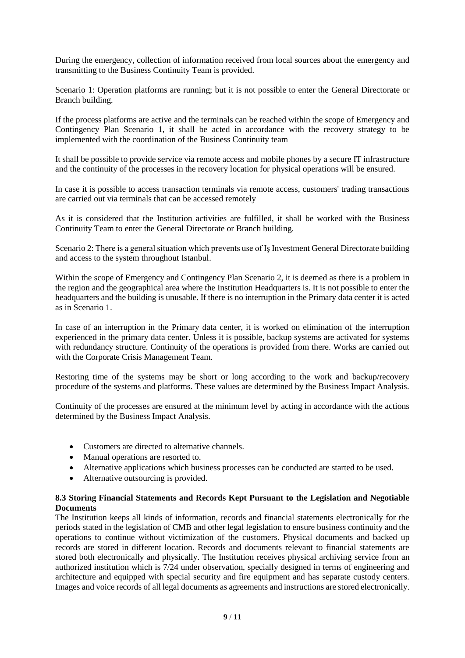During the emergency, collection of information received from local sources about the emergency and transmitting to the Business Continuity Team is provided.

Scenario 1: Operation platforms are running; but it is not possible to enter the General Directorate or Branch building.

If the process platforms are active and the terminals can be reached within the scope of Emergency and Contingency Plan Scenario 1, it shall be acted in accordance with the recovery strategy to be implemented with the coordination of the Business Continuity team

It shall be possible to provide service via remote access and mobile phones by a secure IT infrastructure and the continuity of the processes in the recovery location for physical operations will be ensured.

In case it is possible to access transaction terminals via remote access, customers' trading transactions are carried out via terminals that can be accessed remotely

As it is considered that the Institution activities are fulfilled, it shall be worked with the Business Continuity Team to enter the General Directorate or Branch building.

Scenario 2: There is a general situation which prevents use of Iş Investment General Directorate building and access to the system throughout Istanbul.

Within the scope of Emergency and Contingency Plan Scenario 2, it is deemed as there is a problem in the region and the geographical area where the Institution Headquarters is. It is not possible to enter the headquarters and the building is unusable. If there is no interruption in the Primary data center it is acted as in Scenario 1.

In case of an interruption in the Primary data center, it is worked on elimination of the interruption experienced in the primary data center. Unless it is possible, backup systems are activated for systems with redundancy structure. Continuity of the operations is provided from there. Works are carried out with the Corporate Crisis Management Team.

Restoring time of the systems may be short or long according to the work and backup/recovery procedure of the systems and platforms. These values are determined by the Business Impact Analysis.

Continuity of the processes are ensured at the minimum level by acting in accordance with the actions determined by the Business Impact Analysis.

- Customers are directed to alternative channels.
- Manual operations are resorted to.
- Alternative applications which business processes can be conducted are started to be used.
- Alternative outsourcing is provided.

### **8.3 Storing Financial Statements and Records Kept Pursuant to the Legislation and Negotiable Documents**

The Institution keeps all kinds of information, records and financial statements electronically for the periods stated in the legislation of CMB and other legal legislation to ensure business continuity and the operations to continue without victimization of the customers. Physical documents and backed up records are stored in different location. Records and documents relevant to financial statements are stored both electronically and physically. The Institution receives physical archiving service from an authorized institution which is 7/24 under observation, specially designed in terms of engineering and architecture and equipped with special security and fire equipment and has separate custody centers. Images and voice records of all legal documents as agreements and instructions are stored electronically.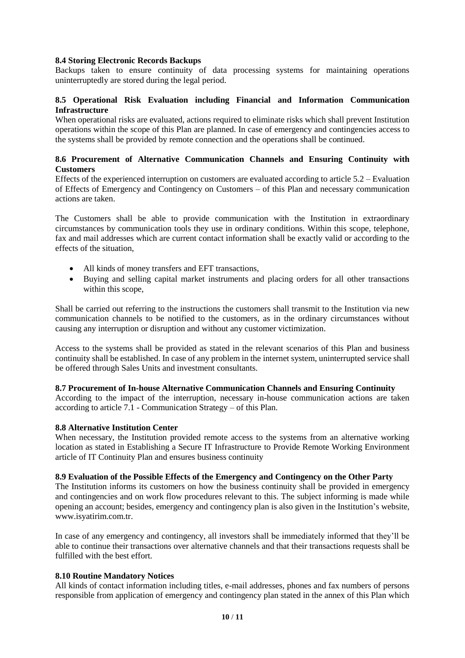### **8.4 Storing Electronic Records Backups**

Backups taken to ensure continuity of data processing systems for maintaining operations uninterruptedly are stored during the legal period.

### **8.5 Operational Risk Evaluation including Financial and Information Communication Infrastructure**

When operational risks are evaluated, actions required to eliminate risks which shall prevent Institution operations within the scope of this Plan are planned. In case of emergency and contingencies access to the systems shall be provided by remote connection and the operations shall be continued.

### **8.6 Procurement of Alternative Communication Channels and Ensuring Continuity with Customers**

Effects of the experienced interruption on customers are evaluated according to article 5.2 – Evaluation of Effects of Emergency and Contingency on Customers – of this Plan and necessary communication actions are taken.

The Customers shall be able to provide communication with the Institution in extraordinary circumstances by communication tools they use in ordinary conditions. Within this scope, telephone, fax and mail addresses which are current contact information shall be exactly valid or according to the effects of the situation,

- All kinds of money transfers and EFT transactions,
- Buying and selling capital market instruments and placing orders for all other transactions within this scope,

Shall be carried out referring to the instructions the customers shall transmit to the Institution via new communication channels to be notified to the customers, as in the ordinary circumstances without causing any interruption or disruption and without any customer victimization.

Access to the systems shall be provided as stated in the relevant scenarios of this Plan and business continuity shall be established. In case of any problem in the internet system, uninterrupted service shall be offered through Sales Units and investment consultants.

### **8.7 Procurement of In-house Alternative Communication Channels and Ensuring Continuity**

According to the impact of the interruption, necessary in-house communication actions are taken according to article 7.1 - Communication Strategy – of this Plan.

### **8.8 Alternative Institution Center**

When necessary, the Institution provided remote access to the systems from an alternative working location as stated in Establishing a Secure IT Infrastructure to Provide Remote Working Environment article of IT Continuity Plan and ensures business continuity

### **8.9 Evaluation of the Possible Effects of the Emergency and Contingency on the Other Party**

The Institution informs its customers on how the business continuity shall be provided in emergency and contingencies and on work flow procedures relevant to this. The subject informing is made while opening an account; besides, emergency and contingency plan is also given in the Institution's website, www.isyatirim.com.tr.

In case of any emergency and contingency, all investors shall be immediately informed that they'll be able to continue their transactions over alternative channels and that their transactions requests shall be fulfilled with the best effort.

### **8.10 Routine Mandatory Notices**

All kinds of contact information including titles, e-mail addresses, phones and fax numbers of persons responsible from application of emergency and contingency plan stated in the annex of this Plan which